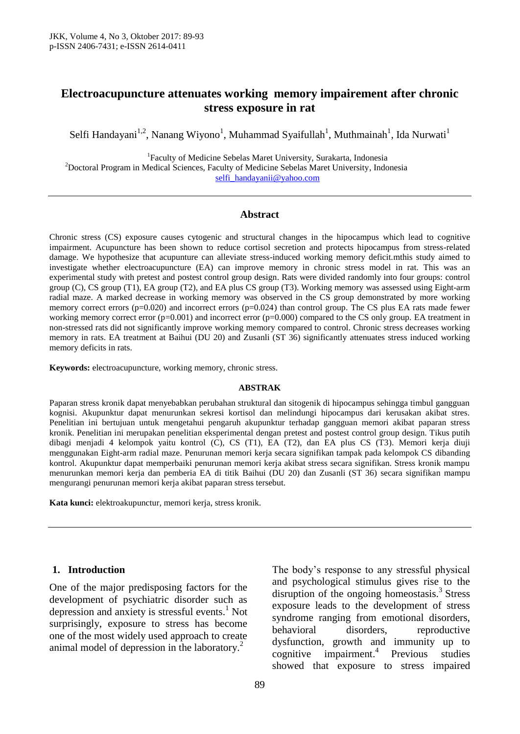## **Electroacupuncture attenuates working memory impairement after chronic stress exposure in rat**

Selfi Handayani<sup>1,2</sup>, Nanang Wiyono<sup>1</sup>, Muhammad Syaifullah<sup>1</sup>, Muthmainah<sup>1</sup>, Ida Nurwati<sup>1</sup>

1 Faculty of Medicine Sebelas Maret University, Surakarta, Indonesia <sup>2</sup>Doctoral Program in Medical Sciences, Faculty of Medicine Sebelas Maret University, Indonesia [selfi\\_handayanii@yahoo.com](mailto:selfi_handayanii@yahoo.com)

#### **Abstract**

Chronic stress (CS) exposure causes cytogenic and structural changes in the hipocampus which lead to cognitive impairment. Acupuncture has been shown to reduce cortisol secretion and protects hipocampus from stress-related damage. We hypothesize that acupunture can alleviate stress-induced working memory deficit.mthis study aimed to investigate whether electroacupuncture (EA) can improve memory in chronic stress model in rat. This was an experimental study with pretest and postest control group design. Rats were divided randomly into four groups: control group (C), CS group (T1), EA group (T2), and EA plus CS group (T3). Working memory was assessed using Eight-arm radial maze. A marked decrease in working memory was observed in the CS group demonstrated by more working memory correct errors (p=0.020) and incorrect errors (p=0.024) than control group. The CS plus EA rats made fewer working memory correct error (p=0.001) and incorrect error (p=0.000) compared to the CS only group. EA treatment in non-stressed rats did not significantly improve working memory compared to control. Chronic stress decreases working memory in rats. EA treatment at Baihui (DU 20) and Zusanli (ST 36) significantly attenuates stress induced working memory deficits in rats.

**Keywords:** electroacupuncture, working memory, chronic stress.

#### **ABSTRAK**

Paparan stress kronik dapat menyebabkan perubahan struktural dan sitogenik di hipocampus sehingga timbul gangguan kognisi. Akupunktur dapat menurunkan sekresi kortisol dan melindungi hipocampus dari kerusakan akibat stres. Penelitian ini bertujuan untuk mengetahui pengaruh akupunktur terhadap gangguan memori akibat paparan stress kronik. Penelitian ini merupakan penelitian eksperimental dengan pretest and postest control group design. Tikus putih dibagi menjadi 4 kelompok yaitu kontrol (C), CS (T1), EA (T2), dan EA plus CS (T3). Memori kerja diuji menggunakan Eight-arm radial maze. Penurunan memori kerja secara signifikan tampak pada kelompok CS dibanding kontrol. Akupunktur dapat memperbaiki penurunan memori kerja akibat stress secara signifikan. Stress kronik mampu menurunkan memori kerja dan pemberia EA di titik Baihui (DU 20) dan Zusanli (ST 36) secara signifikan mampu mengurangi penurunan memori kerja akibat paparan stress tersebut.

**Kata kunci:** elektroakupunctur, memori kerja, stress kronik.

#### **1. Introduction**

One of the major predisposing factors for the development of psychiatric disorder such as depression and anxiety is stressful events. <sup>1</sup> Not surprisingly, exposure to stress has become one of the most widely used approach to create animal model of depression in the laboratory. 2

The body's response to any stressful physical and psychological stimulus gives rise to the disruption of the ongoing homeostasis.<sup>3</sup> Stress exposure leads to the development of stress syndrome ranging from emotional disorders, behavioral disorders, reproductive dysfunction, growth and immunity up to cognitive impairment.<sup>4</sup> Previous studies showed that exposure to stress impaired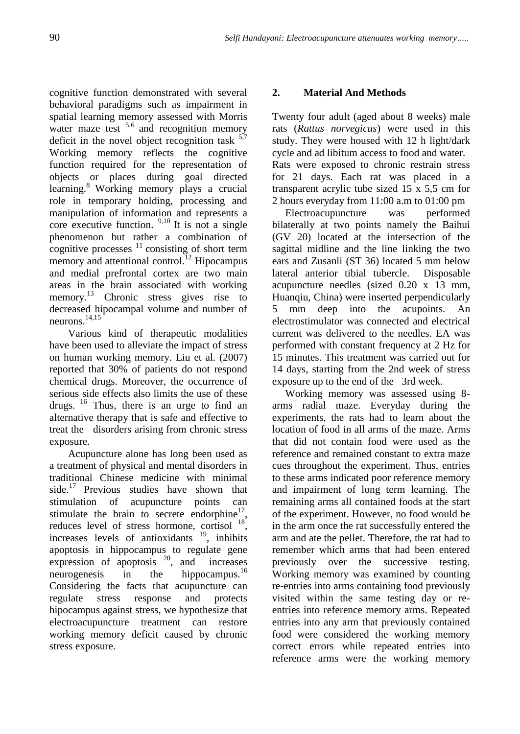cognitive function demonstrated with several behavioral paradigms such as impairment in spatial learning memory assessed with Morris water maze test  $5.6$  and recognition memory deficit in the novel object recognition task  $5.7$ Working memory reflects the cognitive function required for the representation of objects or places during goal directed learning. <sup>8</sup>Working memory plays a crucial role in temporary holding, processing and manipulation of information and represents a core executive function.  $9,10$  It is not a single phenomenon but rather a combination of cognitive processes  $11$  consisting of short term memory and attentional control.<sup>12</sup> Hipocampus and medial prefrontal cortex are two main areas in the brain associated with working memory. <sup>13</sup> Chronic stress gives rise to decreased hipocampal volume and number of neurons. 14,15

Various kind of therapeutic modalities have been used to alleviate the impact of stress on human working memory. Liu et al. (2007) reported that 30% of patients do not respond chemical drugs. Moreover, the occurrence of serious side effects also limits the use of these drugs. <sup>16</sup> Thus, there is an urge to find an alternative therapy that is safe and effective to treat the disorders arising from chronic stress exposure.

Acupuncture alone has long been used as a treatment of physical and mental disorders in traditional Chinese medicine with minimal side.<sup>17</sup> Previous studies have shown that stimulation of acupuncture points can stimulate the brain to secrete endorphine $17$ , reduces level of stress hormone, cortisol  $^{18}$ , increases levels of antioxidants  $19$ , inhibits apoptosis in hippocampus to regulate gene expression of apoptosis <sup>20</sup>, and increases neurogenesis in the hippocampus.<sup>16</sup> Considering the facts that acupuncture can regulate stress response and protects hipocampus against stress, we hypothesize that electroacupuncture treatment can restore working memory deficit caused by chronic stress exposure.

### **2. Material And Methods**

Twenty four adult (aged about 8 weeks) male rats (*Rattus norvegicus*) were used in this study. They were housed with 12 h light/dark cycle and ad libitum access to food and water. Rats were exposed to chronic restrain stress for 21 days. Each rat was placed in a transparent acrylic tube sized 15 x 5,5 cm for 2 hours everyday from 11:00 a.m to 01:00 pm

Electroacupuncture was performed bilaterally at two points namely the Baihui (GV 20) located at the intersection of the sagittal midline and the line linking the two ears and Zusanli (ST 36) located 5 mm below lateral anterior tibial tubercle. Disposable acupuncture needles (sized 0.20 x 13 mm, Huanqiu, China) were inserted perpendicularly 5 mm deep into the acupoints. An electrostimulator was connected and electrical current was delivered to the needles. EA was performed with constant frequency at 2 Hz for 15 minutes. This treatment was carried out for 14 days, starting from the 2nd week of stress exposure up to the end of the 3rd week.

 Working memory was assessed using 8 arms radial maze. Everyday during the experiments, the rats had to learn about the location of food in all arms of the maze. Arms that did not contain food were used as the reference and remained constant to extra maze cues throughout the experiment. Thus, entries to these arms indicated poor reference memory and impairment of long term learning. The remaining arms all contained foods at the start of the experiment. However, no food would be in the arm once the rat successfully entered the arm and ate the pellet. Therefore, the rat had to remember which arms that had been entered previously over the successive testing. Working memory was examined by counting re-entries into arms containing food previously visited within the same testing day or reentries into reference memory arms. Repeated entries into any arm that previously contained food were considered the working memory correct errors while repeated entries into reference arms were the working memory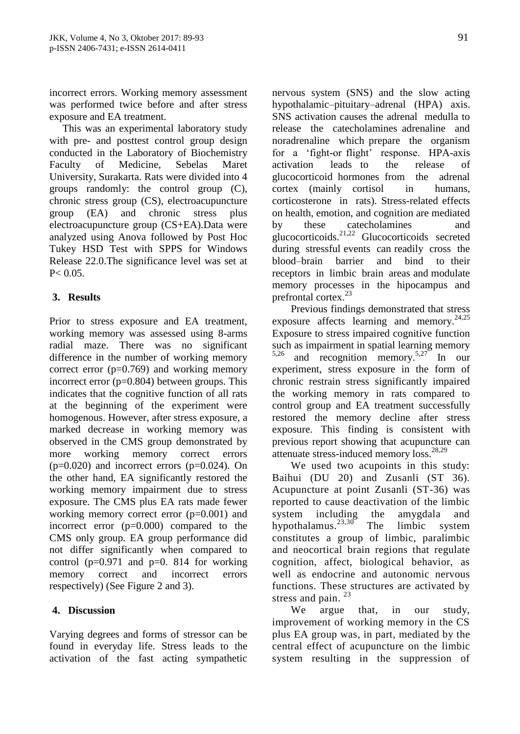incorrect errors. Working memory assessment was performed twice before and after stress exposure and EA treatment.

 This was an experimental laboratory study with pre- and posttest control group design conducted in the Laboratory of Biochemistry Faculty of Medicine, Sebelas Maret University, Surakarta. Rats were divided into 4 groups randomly: the control group (C), chronic stress group (CS), electroacupuncture group (EA) and chronic stress plus electroacupuncture group (CS+EA).Data were analyzed using Anova followed by Post Hoc Tukey HSD Test with SPPS for Windows Release 22.0.The significance level was set at  $P < 0.05$ .

### **3. Results**

Prior to stress exposure and EA treatment, working memory was assessed using 8-arms radial maze. There was no significant difference in the number of working memory correct error (p=0.769) and working memory incorrect error (p=0.804) between groups. This indicates that the cognitive function of all rats at the beginning of the experiment were homogenous. However, after stress exposure, a marked decrease in working memory was observed in the CMS group demonstrated by more working memory correct errors  $(p=0.020)$  and incorrect errors  $(p=0.024)$ . On the other hand, EA significantly restored the working memory impairment due to stress exposure. The CMS plus EA rats made fewer working memory correct error (p=0.001) and incorrect error (p=0.000) compared to the CMS only group. EA group performance did not differ significantly when compared to control ( $p=0.971$  and  $p=0.814$  for working memory correct and incorrect errors respectively) (See Figure 2 and 3).

#### **4. Discussion**

Varying degrees and forms of stressor can be found in everyday life. Stress leads to the activation of the fast acting sympathetic

nervous system (SNS) and the slow acting hypothalamic–pituitary–adrenal (HPA) axis. SNS activation causes the adrenal medulla to release the catecholamines adrenaline and noradrenaline which prepare the organism for a 'fight-or flight' response. HPA-axis activation leads to the release of glucocorticoid hormones from the adrenal cortex (mainly cortisol in humans, corticosterone in rats). Stress-related effects on health, emotion, and cognition are mediated by these catecholamines and glucocorticoids.21,22 Glucocorticoids secreted during stressful events can readily cross the blood–brain barrier and bind to their receptors in limbic brain areas and modulate memory processes in the hipocampus and prefrontal cortex. 23

Previous findings demonstrated that stress exposure affects learning and memory.<sup>24,25</sup> Exposure to stress impaired cognitive function such as impairment in spatial learning memory 5,26 and recognition memory. 5,27 In our experiment, stress exposure in the form of chronic restrain stress significantly impaired the working memory in rats compared to control group and EA treatment successfully restored the memory decline after stress exposure. This finding is consistent with previous report showing that acupuncture can attenuate stress-induced memory  $loss.^{28,29}$ 

We used two acupoints in this study: Baihui (DU 20) and Zusanli (ST 36). Acupuncture at point Zusanli (ST-36) was reported to cause deactivation of the limbic system including the amygdala and hypothalamus.23,30 The limbic system constitutes a group of limbic, paralimbic and neocortical brain regions that regulate cognition, affect, biological behavior, as well as endocrine and autonomic nervous functions. These structures are activated by stress and pain.<sup>23</sup>

We argue that, in our study, improvement of working memory in the CS plus EA group was, in part, mediated by the central effect of acupuncture on the limbic system resulting in the suppression of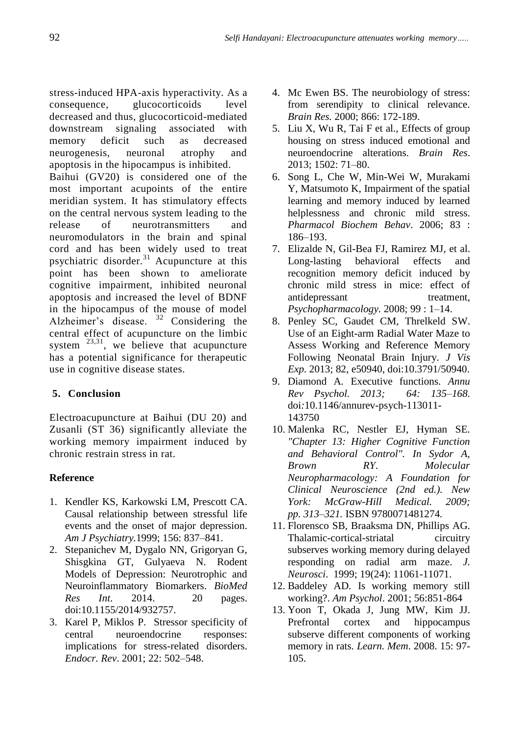stress-induced HPA-axis hyperactivity. As a consequence, glucocorticoids level decreased and thus, glucocorticoid-mediated downstream signaling associated with memory deficit such as decreased neurogenesis, neuronal atrophy and apoptosis in the hipocampus is inhibited.

Baihui (GV20) is considered one of the most important acupoints of the entire meridian system. It has stimulatory effects on the central nervous system leading to the release of neurotransmitters and neuromodulators in the brain and spinal cord and has been widely used to treat psychiatric disorder.<sup>31</sup> Acupuncture at this point has been shown to ameliorate cognitive impairment, inhibited neuronal apoptosis and increased the level of BDNF in the hipocampus of the mouse of model Alzheimer's disease.  $32$  Considering the central effect of acupuncture on the limbic system  $^{23,31}$ , we believe that acupuncture has a potential significance for therapeutic use in cognitive disease states.

# **5. Conclusion**

Electroacupuncture at Baihui (DU 20) and Zusanli (ST 36) significantly alleviate the working memory impairment induced by chronic restrain stress in rat.

## **Reference**

- 1. Kendler KS, Karkowski LM, Prescott CA. Causal relationship between stressful life events and the onset of major depression. *Am J Psychiatry.*1999; 156: 837–841.
- 2. Stepanichev M, Dygalo NN, Grigoryan G, Shisgkina GT, Gulyaeva N. Rodent Models of Depression: Neurotrophic and Neuroinflammatory Biomarkers. *BioMed Res Int*. 2014. 20 pages. doi:10.1155/2014/932757.
- 3. Karel P, Miklos P. Stressor specificity of central neuroendocrine responses: implications for stress-related disorders. *Endocr. Rev*. 2001; 22: 502–548.
- 4. Mc Ewen BS. The neurobiology of stress: from serendipity to clinical relevance. *Brain Res.* 2000; 866: 172-189.
- 5. Liu X, Wu R, Tai F et al., Effects of group housing on stress induced emotional and neuroendocrine alterations. *Brain Res*. 2013; 1502: 71–80.
- 6. Song L, Che W, Min-Wei W, Murakami Y, Matsumoto K, Impairment of the spatial learning and memory induced by learned helplessness and chronic mild stress. *Pharmacol Biochem Behav*. 2006; 83 : 186–193.
- 7. Elizalde N, Gil-Bea FJ, Ramirez MJ, et al. Long-lasting behavioral effects and recognition memory deficit induced by chronic mild stress in mice: effect of antidepressant treatment, *Psychopharmacology.* 2008; 99 : 1–14.
- 8. Penley SC, Gaudet CM, Threlkeld SW. Use of an Eight-arm Radial Water Maze to Assess Working and Reference Memory Following Neonatal Brain Injury. *J Vis Exp*. 2013; 82, e50940, doi:10.3791/50940.
- 9. Diamond A*.* [Executive functions](https://www.ncbi.nlm.nih.gov/pmc/articles/PMC4084861)*. Annu Rev Psychol. 2013; 64: 135–168.*  [doi](https://en.wikipedia.org/wiki/Digital_object_identifier)*:*[10.1146/annurev-psych-113011-](https://dx.doi.org/10.1146%2Fannurev-psych-113011-143750) [143750](https://dx.doi.org/10.1146%2Fannurev-psych-113011-143750)
- 10. Malenka RC, Nestler EJ, Hyman SE*. "Chapter 13: Higher Cognitive Function and Behavioral Control". In Sydor A, Brown RY. Molecular Neuropharmacology: A Foundation for Clinical Neuroscience (2nd ed.). New York: McGraw-Hill Medical. 2009; pp. 313–321.* [ISBN](https://en.wikipedia.org/wiki/International_Standard_Book_Number) [9780071481274](https://en.wikipedia.org/wiki/Special:BookSources/9780071481274)*.*
- 11. Florensco SB, Braaksma DN, Phillips AG. Thalamic-cortical-striatal circuitry subserves working memory during delayed responding on radial arm maze. *J. Neurosci*. 1999; 19(24): 11061-11071.
- 12. Baddeley AD. Is working memory still working?. *Am Psychol*. 2001; 56:851-864
- 13. Yoon T, Okada J, Jung MW, Kim JJ. Prefrontal cortex and hippocampus subserve different components of working memory in rats. *Learn. Mem*. 2008. 15: 97- 105.